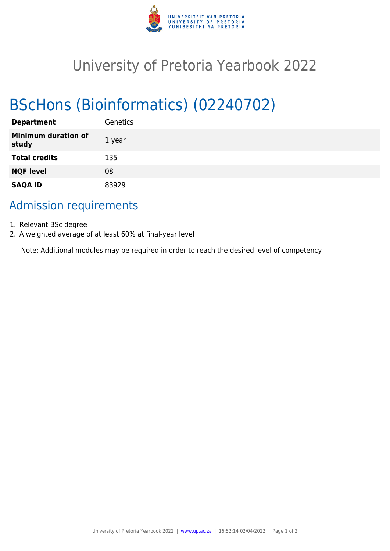

# University of Pretoria Yearbook 2022

# BScHons (Bioinformatics) (02240702)

| <b>Department</b>                   | Genetics |
|-------------------------------------|----------|
| <b>Minimum duration of</b><br>study | 1 year   |
| <b>Total credits</b>                | 135      |
| <b>NQF level</b>                    | 08       |
| <b>SAQA ID</b>                      | 83929    |

## Admission requirements

- 1. Relevant BSc degree
- 2. A weighted average of at least 60% at final-year level

Note: Additional modules may be required in order to reach the desired level of competency